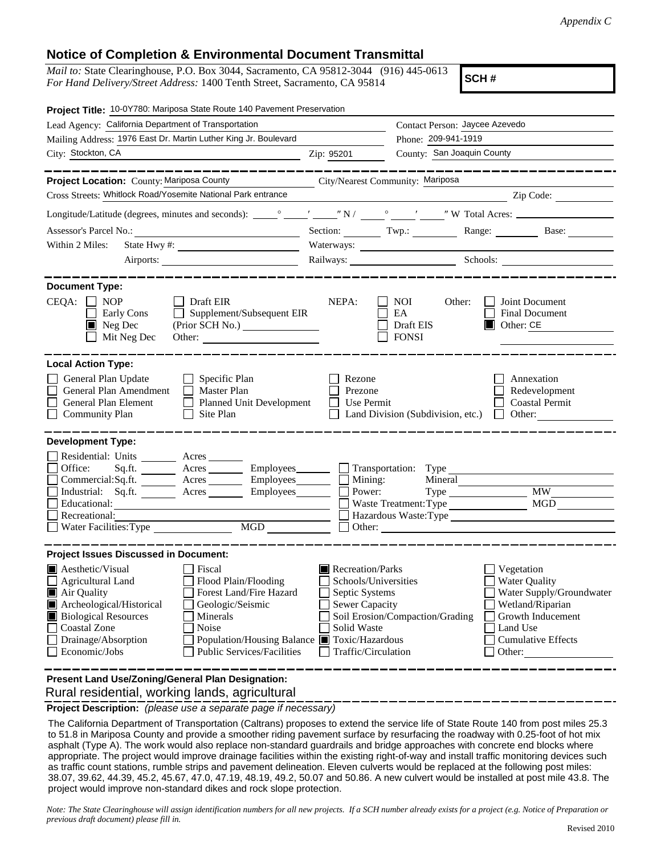## **Notice of Completion & Environmental Document Transmittal**

*Mail to:* State Clearinghouse, P.O. Box 3044, Sacramento, CA 95812-3044 (916) 445-0613 *For Hand Delivery/Street Address:* 1400 Tenth Street, Sacramento, CA 95814

**SCH #**

| Project Title: 10-0Y780: Mariposa State Route 140 Pavement Preservation                                                                                                                                                                                                                                                                                                               |                                                                                                                    |                                                                         |                                                                                                                                                            |
|---------------------------------------------------------------------------------------------------------------------------------------------------------------------------------------------------------------------------------------------------------------------------------------------------------------------------------------------------------------------------------------|--------------------------------------------------------------------------------------------------------------------|-------------------------------------------------------------------------|------------------------------------------------------------------------------------------------------------------------------------------------------------|
| Lead Agency: California Department of Transportation                                                                                                                                                                                                                                                                                                                                  |                                                                                                                    | Contact Person: Jaycee Azevedo                                          |                                                                                                                                                            |
| Mailing Address: 1976 East Dr. Martin Luther King Jr. Boulevard                                                                                                                                                                                                                                                                                                                       |                                                                                                                    | Phone: 209-941-1919                                                     |                                                                                                                                                            |
| City: Stockton, CA                                                                                                                                                                                                                                                                                                                                                                    | Zip: 95201                                                                                                         | County: San Joaquin County                                              |                                                                                                                                                            |
| ______                                                                                                                                                                                                                                                                                                                                                                                |                                                                                                                    |                                                                         |                                                                                                                                                            |
| Project Location: County: Mariposa County                                                                                                                                                                                                                                                                                                                                             | City/Nearest Community: Mariposa                                                                                   |                                                                         |                                                                                                                                                            |
| Cross Streets: Whitlock Road/Yosemite National Park entrance                                                                                                                                                                                                                                                                                                                          |                                                                                                                    | <u> 1989 - Johann Barnett, fransk politiker (d. 1989)</u>               | Zip Code:                                                                                                                                                  |
|                                                                                                                                                                                                                                                                                                                                                                                       |                                                                                                                    |                                                                         |                                                                                                                                                            |
|                                                                                                                                                                                                                                                                                                                                                                                       |                                                                                                                    |                                                                         | Section: Twp.: Twp.: Range: Base: Base:                                                                                                                    |
| Within 2 Miles:                                                                                                                                                                                                                                                                                                                                                                       |                                                                                                                    |                                                                         |                                                                                                                                                            |
| Airports:                                                                                                                                                                                                                                                                                                                                                                             |                                                                                                                    |                                                                         | Railways: Schools: Schools:                                                                                                                                |
| <b>Document Type:</b><br>$CEQA: \Box NOP$<br>Draft EIR<br>Supplement/Subsequent EIR<br>Early Cons<br>$\blacksquare$ Neg Dec<br>(Prior SCH No.)<br>Mit Neg Dec                                                                                                                                                                                                                         | NEPA:                                                                                                              | NOI<br>Other:<br>EA<br>Draft EIS<br><b>FONSI</b>                        | Joint Document<br>Final Document<br>$\Box$ Other: CE                                                                                                       |
| <b>Local Action Type:</b><br>General Plan Update<br>$\Box$ Specific Plan<br>General Plan Amendment<br>$\Box$ Master Plan<br>General Plan Element<br><b>Planned Unit Development</b><br>$\Box$<br><b>Community Plan</b><br>Site Plan<br>$\perp$                                                                                                                                        | Rezone<br>Prezone<br>Use Permit                                                                                    | Land Division (Subdivision, etc.)                                       | Annexation<br>Redevelopment<br><b>Coastal Permit</b><br>Other:<br>$\mathbf{L}$                                                                             |
| <b>Development Type:</b>                                                                                                                                                                                                                                                                                                                                                              |                                                                                                                    |                                                                         |                                                                                                                                                            |
| Residential: Units ________ Acres _______<br>Office:<br>Sq.fit.<br>Acres _________ Employees___________  <br>Commercial:Sq.ft. ________ Acres __________ Employees________<br>Acres Employees<br>Industrial: Sq.ft.<br>Educational:<br>Recreational:<br>MGD<br>Water Facilities: Type                                                                                                 | Mining:<br>Power:                                                                                                  | Transportation: Type<br>Mineral<br>$Type \_\_$<br>Waste Treatment: Type | <b>MW</b><br><b>MGD</b><br>Hazardous Waste:Type                                                                                                            |
| <b>Project Issues Discussed in Document:</b>                                                                                                                                                                                                                                                                                                                                          |                                                                                                                    |                                                                         |                                                                                                                                                            |
| <b>Aesthetic/Visual</b><br>Fiscal<br>$\Box$ Agricultural Land<br>Flood Plain/Flooding<br>Forest Land/Fire Hazard<br>Air Quality<br>Archeological/Historical<br>Geologic/Seismic<br><b>Biological Resources</b><br>Minerals<br>Noise<br><b>Coastal Zone</b><br>Population/Housing Balance Toxic/Hazardous<br>Drainage/Absorption<br><b>Public Services/Facilities</b><br>Economic/Jobs | Recreation/Parks<br>Schools/Universities<br>Septic Systems<br>Sewer Capacity<br>Solid Waste<br>Traffic/Circulation | Soil Erosion/Compaction/Grading                                         | Vegetation<br><b>Water Quality</b><br>Water Supply/Groundwater<br>Wetland/Riparian<br>Growth Inducement<br>Land Use<br><b>Cumulative Effects</b><br>Other: |
| Present Land Use/Zoning/General Plan Designation:                                                                                                                                                                                                                                                                                                                                     |                                                                                                                    |                                                                         |                                                                                                                                                            |

Rural residential, working lands, agricultural

**Project Description:** *(please use a separate page if necessary)*

 The California Department of Transportation (Caltrans) proposes to extend the service life of State Route 140 from post miles 25.3 to 51.8 in Mariposa County and provide a smoother riding pavement surface by resurfacing the roadway with 0.25-foot of hot mix asphalt (Type A). The work would also replace non-standard guardrails and bridge approaches with concrete end blocks where appropriate. The project would improve drainage facilities within the existing right-of-way and install traffic monitoring devices such as traffic count stations, rumble strips and pavement delineation. Eleven culverts would be replaced at the following post miles: 38.07, 39.62, 44.39, 45.2, 45.67, 47.0, 47.19, 48.19, 49.2, 50.07 and 50.86. A new culvert would be installed at post mile 43.8. The project would improve non-standard dikes and rock slope protection.

*Note: The State Clearinghouse will assign identification numbers for all new projects. If a SCH number already exists for a project (e.g. Notice of Preparation or previous draft document) please fill in.*